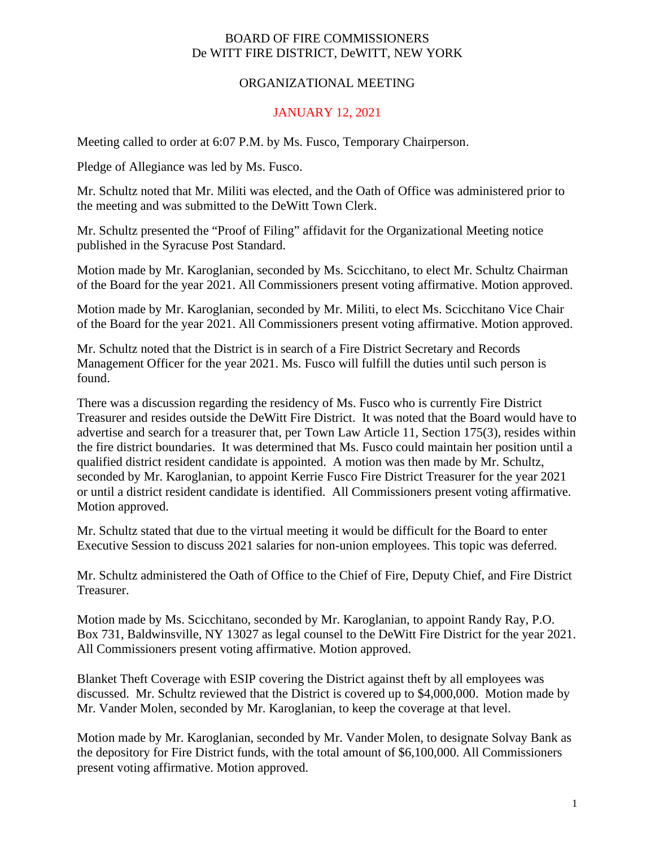## BOARD OF FIRE COMMISSIONERS De WITT FIRE DISTRICT, DeWITT, NEW YORK

## ORGANIZATIONAL MEETING

## JANUARY 12, 2021

Meeting called to order at 6:07 P.M. by Ms. Fusco, Temporary Chairperson.

Pledge of Allegiance was led by Ms. Fusco.

Mr. Schultz noted that Mr. Militi was elected, and the Oath of Office was administered prior to the meeting and was submitted to the DeWitt Town Clerk.

Mr. Schultz presented the "Proof of Filing" affidavit for the Organizational Meeting notice published in the Syracuse Post Standard.

Motion made by Mr. Karoglanian, seconded by Ms. Scicchitano, to elect Mr. Schultz Chairman of the Board for the year 2021. All Commissioners present voting affirmative. Motion approved.

Motion made by Mr. Karoglanian, seconded by Mr. Militi, to elect Ms. Scicchitano Vice Chair of the Board for the year 2021. All Commissioners present voting affirmative. Motion approved.

Mr. Schultz noted that the District is in search of a Fire District Secretary and Records Management Officer for the year 2021. Ms. Fusco will fulfill the duties until such person is found.

There was a discussion regarding the residency of Ms. Fusco who is currently Fire District Treasurer and resides outside the DeWitt Fire District. It was noted that the Board would have to advertise and search for a treasurer that, per Town Law Article 11, Section 175(3), resides within the fire district boundaries. It was determined that Ms. Fusco could maintain her position until a qualified district resident candidate is appointed. A motion was then made by Mr. Schultz, seconded by Mr. Karoglanian, to appoint Kerrie Fusco Fire District Treasurer for the year 2021 or until a district resident candidate is identified. All Commissioners present voting affirmative. Motion approved.

Mr. Schultz stated that due to the virtual meeting it would be difficult for the Board to enter Executive Session to discuss 2021 salaries for non-union employees. This topic was deferred.

Mr. Schultz administered the Oath of Office to the Chief of Fire, Deputy Chief, and Fire District Treasurer.

Motion made by Ms. Scicchitano, seconded by Mr. Karoglanian, to appoint Randy Ray, P.O. Box 731, Baldwinsville, NY 13027 as legal counsel to the DeWitt Fire District for the year 2021. All Commissioners present voting affirmative. Motion approved.

Blanket Theft Coverage with ESIP covering the District against theft by all employees was discussed. Mr. Schultz reviewed that the District is covered up to \$4,000,000. Motion made by Mr. Vander Molen, seconded by Mr. Karoglanian, to keep the coverage at that level.

Motion made by Mr. Karoglanian, seconded by Mr. Vander Molen, to designate Solvay Bank as the depository for Fire District funds, with the total amount of \$6,100,000. All Commissioners present voting affirmative. Motion approved.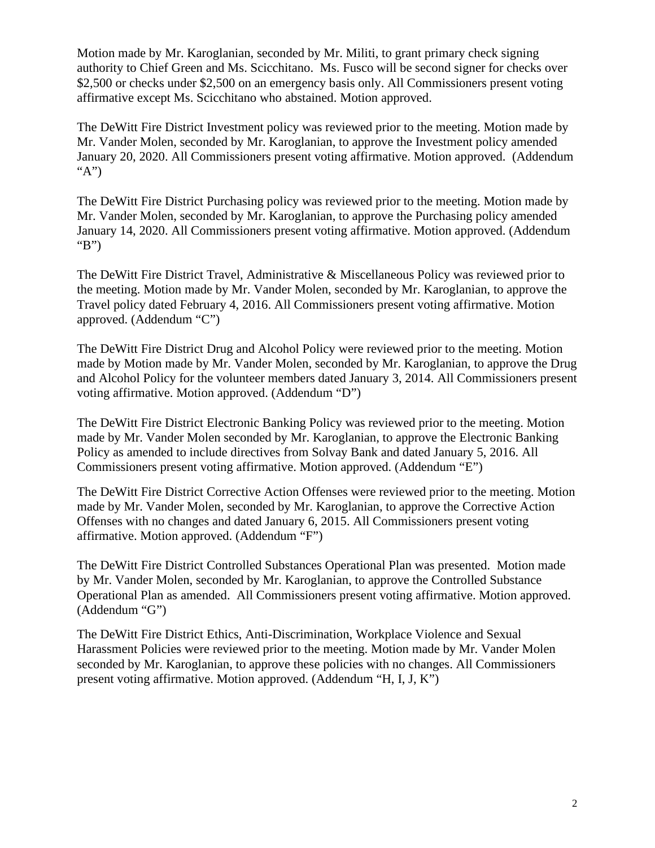Motion made by Mr. Karoglanian, seconded by Mr. Militi, to grant primary check signing authority to Chief Green and Ms. Scicchitano. Ms. Fusco will be second signer for checks over \$2,500 or checks under \$2,500 on an emergency basis only. All Commissioners present voting affirmative except Ms. Scicchitano who abstained. Motion approved.

The DeWitt Fire District Investment policy was reviewed prior to the meeting. Motion made by Mr. Vander Molen, seconded by Mr. Karoglanian, to approve the Investment policy amended January 20, 2020. All Commissioners present voting affirmative. Motion approved. (Addendum "A")

The DeWitt Fire District Purchasing policy was reviewed prior to the meeting. Motion made by Mr. Vander Molen, seconded by Mr. Karoglanian, to approve the Purchasing policy amended January 14, 2020. All Commissioners present voting affirmative. Motion approved. (Addendum "B")

The DeWitt Fire District Travel, Administrative & Miscellaneous Policy was reviewed prior to the meeting. Motion made by Mr. Vander Molen, seconded by Mr. Karoglanian, to approve the Travel policy dated February 4, 2016. All Commissioners present voting affirmative. Motion approved. (Addendum "C")

The DeWitt Fire District Drug and Alcohol Policy were reviewed prior to the meeting. Motion made by Motion made by Mr. Vander Molen, seconded by Mr. Karoglanian, to approve the Drug and Alcohol Policy for the volunteer members dated January 3, 2014. All Commissioners present voting affirmative. Motion approved. (Addendum "D")

The DeWitt Fire District Electronic Banking Policy was reviewed prior to the meeting. Motion made by Mr. Vander Molen seconded by Mr. Karoglanian, to approve the Electronic Banking Policy as amended to include directives from Solvay Bank and dated January 5, 2016. All Commissioners present voting affirmative. Motion approved. (Addendum "E")

The DeWitt Fire District Corrective Action Offenses were reviewed prior to the meeting. Motion made by Mr. Vander Molen, seconded by Mr. Karoglanian, to approve the Corrective Action Offenses with no changes and dated January 6, 2015. All Commissioners present voting affirmative. Motion approved. (Addendum "F")

The DeWitt Fire District Controlled Substances Operational Plan was presented. Motion made by Mr. Vander Molen, seconded by Mr. Karoglanian, to approve the Controlled Substance Operational Plan as amended. All Commissioners present voting affirmative. Motion approved. (Addendum "G")

The DeWitt Fire District Ethics, Anti-Discrimination, Workplace Violence and Sexual Harassment Policies were reviewed prior to the meeting. Motion made by Mr. Vander Molen seconded by Mr. Karoglanian, to approve these policies with no changes. All Commissioners present voting affirmative. Motion approved. (Addendum "H, I, J, K")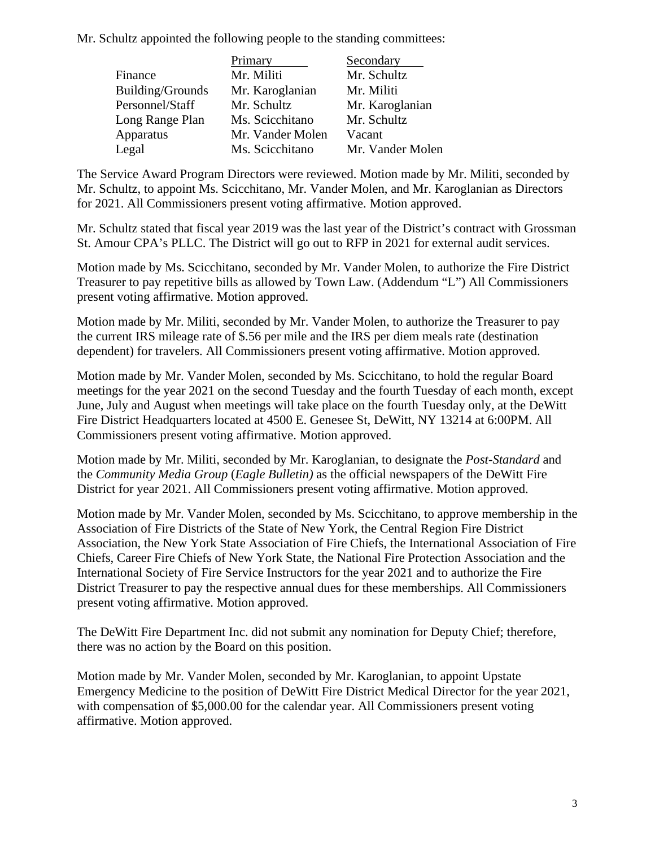Mr. Schultz appointed the following people to the standing committees:

|                  | Primary          | Secondary        |
|------------------|------------------|------------------|
| Finance          | Mr. Militi       | Mr. Schultz      |
| Building/Grounds | Mr. Karoglanian  | Mr. Militi       |
| Personnel/Staff  | Mr. Schultz      | Mr. Karoglanian  |
| Long Range Plan  | Ms. Scicchitano  | Mr. Schultz      |
| Apparatus        | Mr. Vander Molen | Vacant           |
| Legal            | Ms. Scicchitano  | Mr. Vander Molen |

The Service Award Program Directors were reviewed. Motion made by Mr. Militi, seconded by Mr. Schultz, to appoint Ms. Scicchitano, Mr. Vander Molen, and Mr. Karoglanian as Directors for 2021. All Commissioners present voting affirmative. Motion approved.

Mr. Schultz stated that fiscal year 2019 was the last year of the District's contract with Grossman St. Amour CPA's PLLC. The District will go out to RFP in 2021 for external audit services.

Motion made by Ms. Scicchitano, seconded by Mr. Vander Molen, to authorize the Fire District Treasurer to pay repetitive bills as allowed by Town Law. (Addendum "L") All Commissioners present voting affirmative. Motion approved.

Motion made by Mr. Militi, seconded by Mr. Vander Molen, to authorize the Treasurer to pay the current IRS mileage rate of \$.56 per mile and the IRS per diem meals rate (destination dependent) for travelers. All Commissioners present voting affirmative. Motion approved.

Motion made by Mr. Vander Molen, seconded by Ms. Scicchitano, to hold the regular Board meetings for the year 2021 on the second Tuesday and the fourth Tuesday of each month, except June, July and August when meetings will take place on the fourth Tuesday only, at the DeWitt Fire District Headquarters located at 4500 E. Genesee St, DeWitt, NY 13214 at 6:00PM. All Commissioners present voting affirmative. Motion approved.

Motion made by Mr. Militi, seconded by Mr. Karoglanian, to designate the *Post-Standard* and the *Community Media Group* (*Eagle Bulletin)* as the official newspapers of the DeWitt Fire District for year 2021. All Commissioners present voting affirmative. Motion approved.

Motion made by Mr. Vander Molen, seconded by Ms. Scicchitano, to approve membership in the Association of Fire Districts of the State of New York, the Central Region Fire District Association, the New York State Association of Fire Chiefs, the International Association of Fire Chiefs, Career Fire Chiefs of New York State, the National Fire Protection Association and the International Society of Fire Service Instructors for the year 2021 and to authorize the Fire District Treasurer to pay the respective annual dues for these memberships. All Commissioners present voting affirmative. Motion approved.

The DeWitt Fire Department Inc. did not submit any nomination for Deputy Chief; therefore, there was no action by the Board on this position.

Motion made by Mr. Vander Molen, seconded by Mr. Karoglanian, to appoint Upstate Emergency Medicine to the position of DeWitt Fire District Medical Director for the year 2021, with compensation of \$5,000.00 for the calendar year. All Commissioners present voting affirmative. Motion approved.